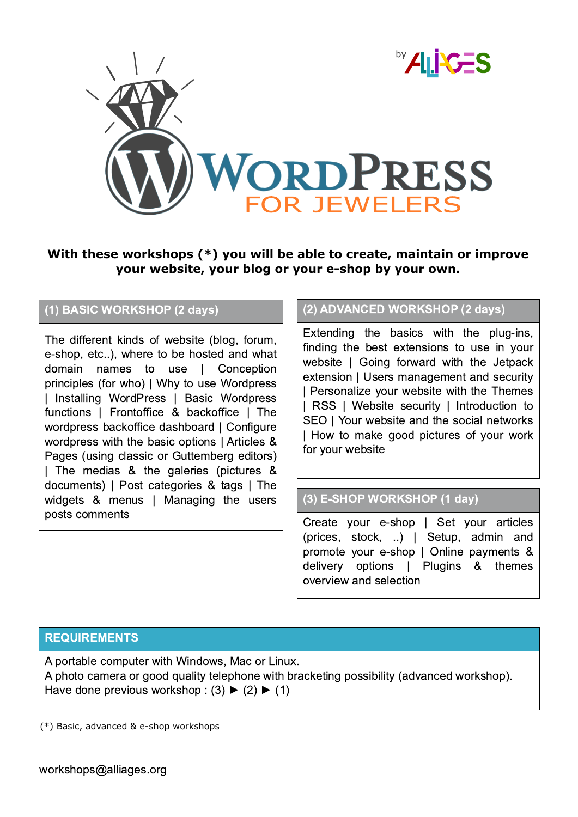

## **With these workshops (\*) you will be able to create, maintain or improve your website, your blog or your eshop by your own.**

### (1) BASIC WORKSHOP (2 days)

The different kinds of website (blog, forum, e-shop, etc..), where to be hosted and what domain names to use | Conception principles (for who) | Why to use Wordpress | Installing WordPress | Basic Wordpress functions | Frontoffice & backoffice | The wordpress backoffice dashboard | Configure wordpress with the basic options | Articles & Pages (using classic or Guttemberg editors) | The medias & the galeries (pictures & documents) | Post categories & tags | The widgets & menus | Managing the users posts comments  $\overline{\qquad}$  Create your e-shop | Set your articles

### (2) ADVANCED WORKSHOP (2 days)

Extending the basics with the plug-ins, finding the best extensions to use in your website | Going forward with the Jetpack extension | Users management and security | Personalize your website with the Themes | RSS | Website security | Introduction to SEO | Your website and the social networks | How to make good pictures of your work for your website

#### (3) E-SHOP WORKSHOP (1 day)

(prices, stock, ..) | Setup, admin and promote your e-shop | Online payments & delivery options | Plugins & themes overview and selection

#### **REQUIREMENTS**

A portable computer with Windows, Mac or Linux. A photo camera or good quality telephone with bracketing possibility (advanced workshop). Have done previous workshop :  $(3)$   $\blacktriangleright$   $(2)$   $\blacktriangleright$   $(1)$ 

 $(*)$  Basic, advanced & e-shop workshops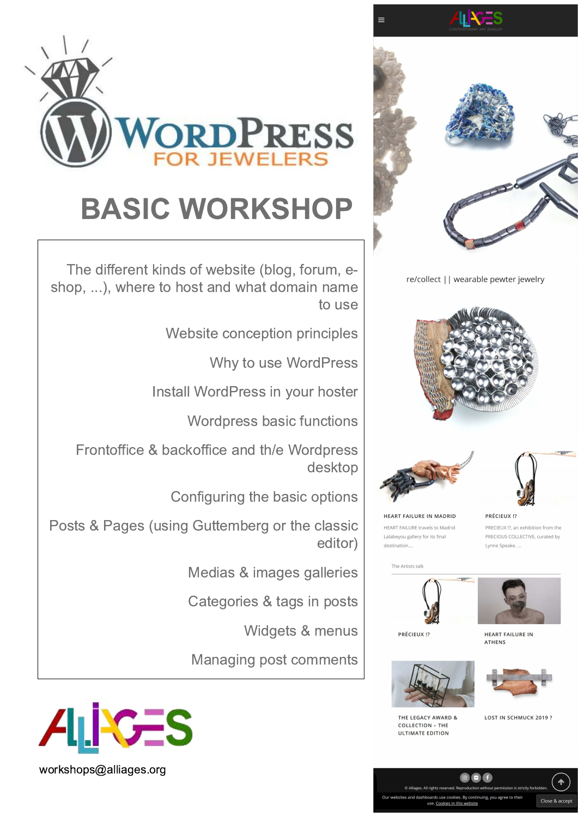

re/collect | | wearable pewter jewelry







HEART FAILURE IN MADRID HEART FAILURE travels to Madrid Lalabeyou gallery for its final destination...

PRÉCIEUX !? PRECIEUX !?, an exhibition from the PRECIOUS COLLECTIVE, curated by Lynne Speake...





THE LEGACY AWARD &

**COLLECTION - THE ULTIMATE EDITION** 



HEART FAILURE IN **ATHENS** 





LOST IN SCHMUCK 2019?



## **BASIC WORKSHOP**

The different kinds of website (blog, forum, eshop, ...), where to host and what domain name to use

Website conception principles

Why to use WordPress

Install WordPress in your hoster

Wordpress basic functions

Frontoffice & backoffice and th/e Wordpress desktop

Configuring the basic options

Posts & Pages (using Guttemberg or the classic editor)

Medias & images galleries

Categories & tags in posts

Widgets & menus

Managing post comments



workshops@alliages.org

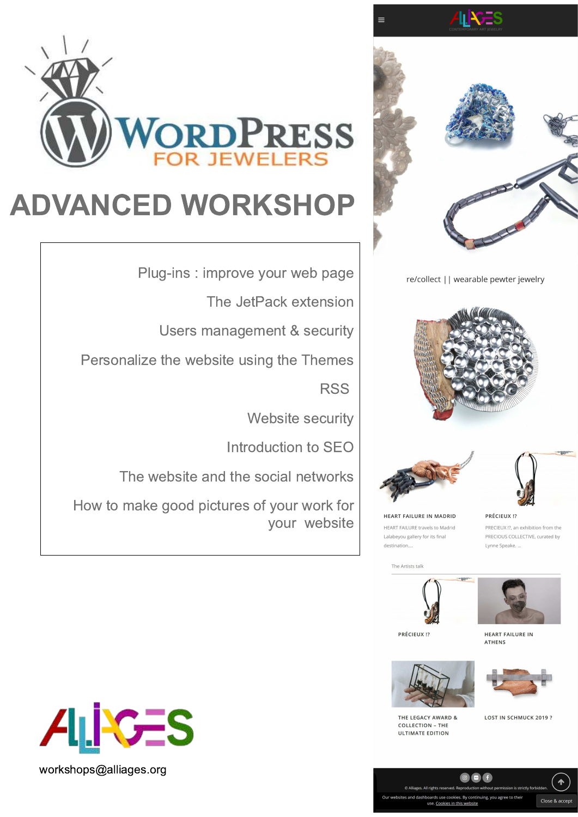

re/collect | | wearable pewter jewelry







**HEART FAILURE IN MADRID** HEART FAILURE travels to Madrid Lalabeyou gallery for its final destination...

PRÉCIEUX !? PRECIEUX !?, an exhibition from the PRECIOUS COLLECTIVE, curated by Lynne Speake...

The Artists talk





PRÉCIEUX !?

**HEART FAILURE IN ATHENS** 



THE LEGACY AWARD &

**COLLECTION - THE ULTIMATE EDITION** 



LOST IN SCHMUCK 2019?

 $\blacklozenge$ 

Close & accept



## **ADVANCED WORKSHOP**

Plug-ins : improve your web page

The JetPack extension

Users management & security

Personalize the website using the Themes

**RSS** 

**Website security** 

Introduction to SEO

The website and the social networks

How to make good pictures of your work for your website



workshops@alliages.org